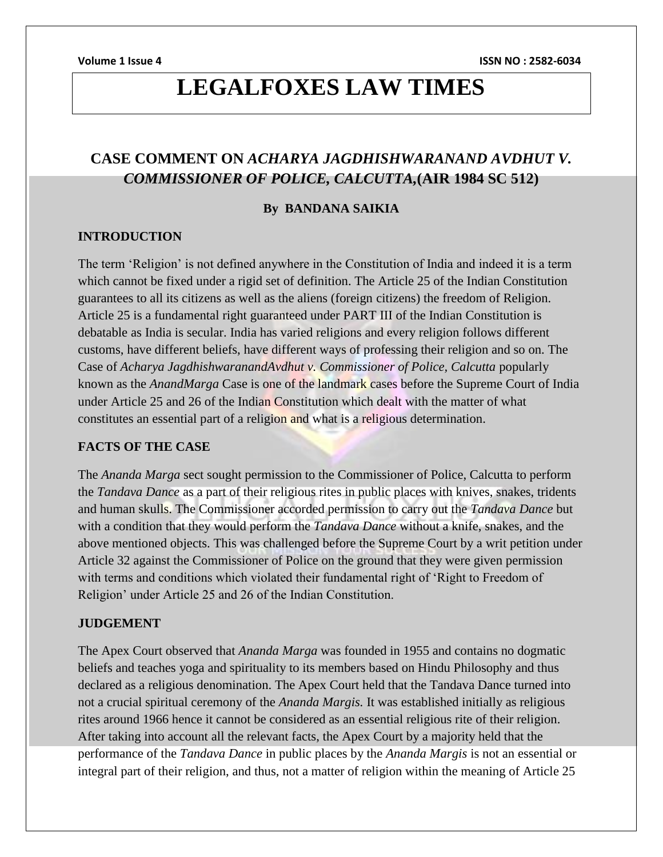**Volume 1 Issue 4 ISSN NO : 2582-6034**

## **LEGALFOXES LAW TIMES**

### **CASE COMMENT ON** *ACHARYA JAGDHISHWARANAND AVDHUT V. COMMISSIONER OF POLICE, CALCUTTA,***(AIR 1984 SC 512)**

### **By BANDANA SAIKIA**

### **INTRODUCTION**

The term 'Religion' is not defined anywhere in the Constitution of India and indeed it is a term which cannot be fixed under a rigid set of definition. The Article 25 of the Indian Constitution guarantees to all its citizens as well as the aliens (foreign citizens) the freedom of Religion. Article 25 is a fundamental right guaranteed under PART III of the Indian Constitution is debatable as India is secular. India has varied religions and every religion follows different customs, have different beliefs, have different ways of professing their religion and so on. The Case of *Acharya JagdhishwaranandAvdhut v. Commissioner of Police, Calcutta* popularly known as the *AnandMarga* Case is one of the landmark cases before the Supreme Court of India under Article 25 and 26 of the Indian Constitution which dealt with the matter of what constitutes an essential part of a religion and what is a religious determination.

### **FACTS OF THE CASE**

The *Ananda Marga* sect sought permission to the Commissioner of Police, Calcutta to perform the *Tandava Dance* as a part of their religious rites in public places with knives, snakes, tridents and human skulls. The Commissioner accorded permission to carry out the *Tandava Dance* but with a condition that they would perform the *Tandava Dance* without a knife, snakes, and the above mentioned objects. This was challenged before the Supreme Court by a writ petition under Article 32 against the Commissioner of Police on the ground that they were given permission with terms and conditions which violated their fundamental right of 'Right to Freedom of Religion' under Article 25 and 26 of the Indian Constitution.

### **JUDGEMENT**

The Apex Court observed that *Ananda Marga* was founded in 1955 and contains no dogmatic beliefs and teaches yoga and spirituality to its members based on Hindu Philosophy and thus declared as a religious denomination. The Apex Court held that the Tandava Dance turned into not a crucial spiritual ceremony of the *Ananda Margis.* It was established initially as religious rites around 1966 hence it cannot be considered as an essential religious rite of their religion. After taking into account all the relevant facts, the Apex Court by a majority held that the performance of the *Tandava Dance* in public places by the *Ananda Margis* is not an essential or integral part of their religion, and thus, not a matter of religion within the meaning of Article 25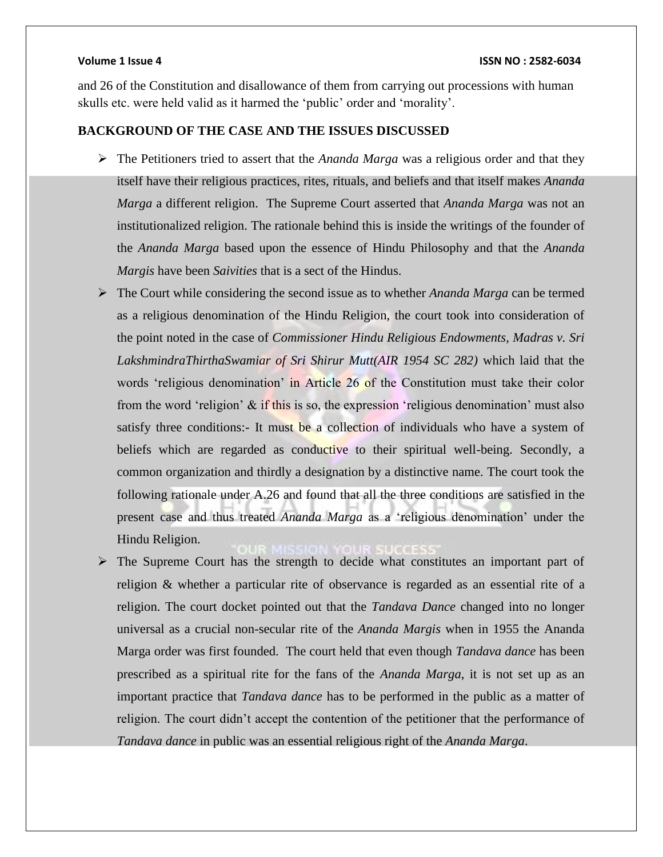and 26 of the Constitution and disallowance of them from carrying out processions with human skulls etc. were held valid as it harmed the 'public' order and 'morality'.

### **BACKGROUND OF THE CASE AND THE ISSUES DISCUSSED**

- The Petitioners tried to assert that the *Ananda Marga* was a religious order and that they itself have their religious practices, rites, rituals, and beliefs and that itself makes *Ananda Marga* a different religion. The Supreme Court asserted that *Ananda Marga* was not an institutionalized religion. The rationale behind this is inside the writings of the founder of the *Ananda Marga* based upon the essence of Hindu Philosophy and that the *Ananda Margis* have been *Saivities* that is a sect of the Hindus.
- The Court while considering the second issue as to whether *Ananda Marga* can be termed as a religious denomination of the Hindu Religion, the court took into consideration of the point noted in the case of *Commissioner Hindu Religious Endowments, Madras v. Sri LakshmindraThirthaSwamiar of Sri Shirur Mutt(AIR 1954 SC 282)* which laid that the words 'religious denomination' in Article 26 of the Constitution must take their color from the word 'religion' & if this is so, the expression 'religious denomination' must also satisfy three conditions:- It must be a collection of individuals who have a system of beliefs which are regarded as conductive to their spiritual well-being. Secondly, a common organization and thirdly a designation by a distinctive name. The court took the following rationale under A.26 and found that all the three conditions are satisfied in the present case and thus treated *Ananda Marga* as a 'religious denomination' under the Hindu Religion.

 $\triangleright$  The Supreme Court has the strength to decide what constitutes an important part of religion & whether a particular rite of observance is regarded as an essential rite of a religion. The court docket pointed out that the *Tandava Dance* changed into no longer universal as a crucial non-secular rite of the *Ananda Margis* when in 1955 the Ananda Marga order was first founded. The court held that even though *Tandava dance* has been prescribed as a spiritual rite for the fans of the *Ananda Marga*, it is not set up as an important practice that *Tandava dance* has to be performed in the public as a matter of religion. The court didn't accept the contention of the petitioner that the performance of *Tandava dance* in public was an essential religious right of the *Ananda Marga*.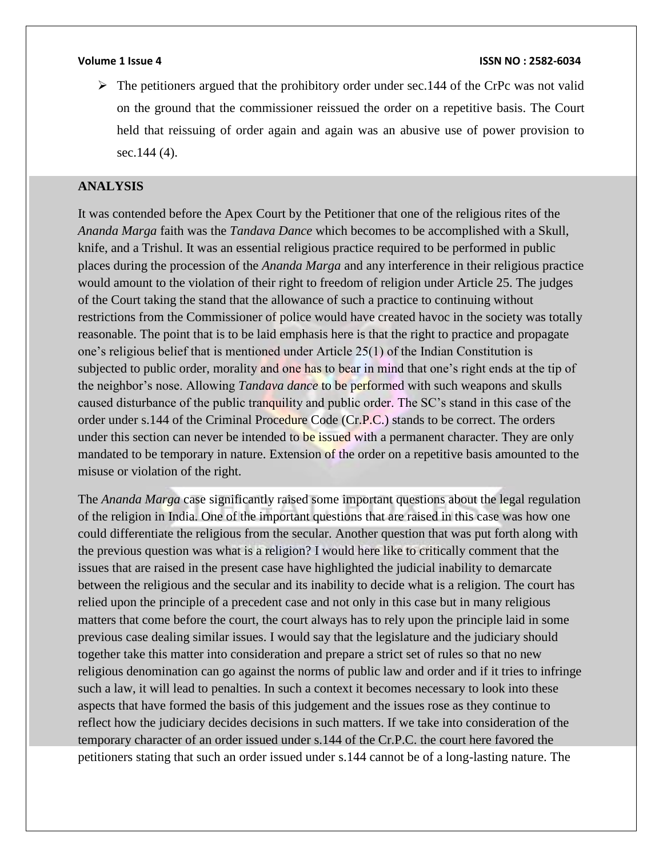$\triangleright$  The petitioners argued that the prohibitory order under sec. 144 of the CrPc was not valid on the ground that the commissioner reissued the order on a repetitive basis. The Court held that reissuing of order again and again was an abusive use of power provision to sec.144 (4).

### **ANALYSIS**

It was contended before the Apex Court by the Petitioner that one of the religious rites of the *Ananda Marga* faith was the *Tandava Dance* which becomes to be accomplished with a Skull, knife, and a Trishul. It was an essential religious practice required to be performed in public places during the procession of the *Ananda Marga* and any interference in their religious practice would amount to the violation of their right to freedom of religion under Article 25. The judges of the Court taking the stand that the allowance of such a practice to continuing without restrictions from the Commissioner of police would have created havoc in the society was totally reasonable. The point that is to be laid emphasis here is that the right to practice and propagate one's religious belief that is mentioned under Article 25(1) of the Indian Constitution is subjected to public order, morality and one has to bear in mind that one's right ends at the tip of the neighbor's nose. Allowing *Tandava dance* to be performed with such weapons and skulls caused disturbance of the public tranquility and public order. The SC's stand in this case of the order under s.144 of the Criminal Procedure Code (Cr.P.C.) stands to be correct. The orders under this section can never be intended to be issued with a permanent character. They are only mandated to be temporary in nature. Extension of the order on a repetitive basis amounted to the misuse or violation of the right.

The *Ananda Marga* case significantly raised some important questions about the legal regulation of the religion in India. One of the important questions that are raised in this case was how one could differentiate the religious from the secular. Another question that was put forth along with the previous question was what is a religion? I would here like to critically comment that the issues that are raised in the present case have highlighted the judicial inability to demarcate between the religious and the secular and its inability to decide what is a religion. The court has relied upon the principle of a precedent case and not only in this case but in many religious matters that come before the court, the court always has to rely upon the principle laid in some previous case dealing similar issues. I would say that the legislature and the judiciary should together take this matter into consideration and prepare a strict set of rules so that no new religious denomination can go against the norms of public law and order and if it tries to infringe such a law, it will lead to penalties. In such a context it becomes necessary to look into these aspects that have formed the basis of this judgement and the issues rose as they continue to reflect how the judiciary decides decisions in such matters. If we take into consideration of the temporary character of an order issued under s.144 of the Cr.P.C. the court here favored the petitioners stating that such an order issued under s.144 cannot be of a long-lasting nature. The